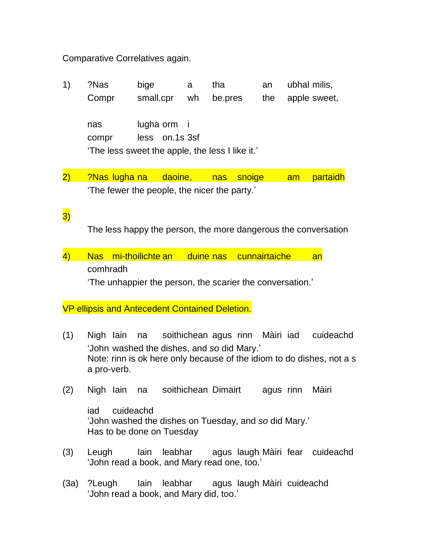## Comparative Correlatives again.

- 1) ?Nas bige a tha an ubhal milis, Compr small.cpr wh be.pres the apple sweet, nas lugha orm i compr less on.1s 3sf 'The less sweet the apple, the less I like it.'
- 2) ?Nas lugha na daoine, nas snoige am partaidh 'The fewer the people, the nicer the party.'

## 3)

The less happy the person, the more dangerous the conversation

4) Nas mi-thoilichte an duine nas cunnairtaiche an comhradh

'The unhappier the person, the scarier the conversation.'

## VP ellipsis and Antecedent Contained Deletion.

- (1) Nigh Iain na soithichean agus rinn Màiri iad cuideachd 'John washed the dishes, and *so* did Mary.' Note: rinn is ok here only because of the idiom to do dishes, not a s a pro-verb.
- (2) Nigh Iain na soithichean Dimairt agus rinn Màiri

iad cuideachd 'John washed the dishes on Tuesday, and *so* did Mary.' Has to be done on Tuesday

- (3) Leugh Iain leabhar agus laugh Màiri fear cuideachd 'John read a book, and Mary read one, too.'
- (3a) ?Leugh Iain leabhar agus laugh Màiri cuideachd 'John read a book, and Mary did, too.'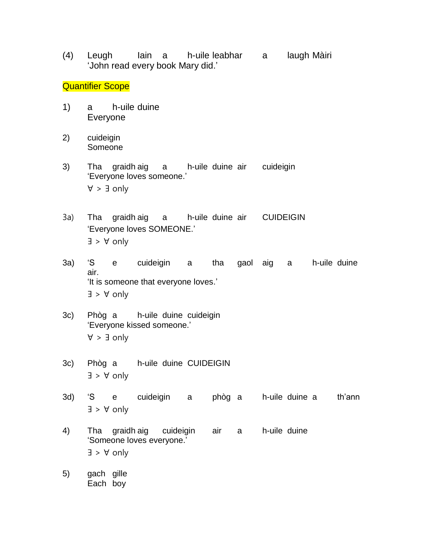(4) Leugh Iain a h-uile leabhar a laugh Màiri 'John read every book Mary did.'

## **Quantifier Scope**

- 1) a h-uile duine Everyone
- 2) cuideigin Someone
- 3) Tha graidh aig a h-uile duine air cuideigin 'Everyone loves someone.' ∀ > ∃ only
- 3a) Tha graidh aig a h-uile duine air CUIDEIGIN 'Everyone loves SOMEONE.' ∃ > ∀ only
- 3a) 'S e cuideigin a tha gaol aig a h-uile duine air. 'It is someone that everyone loves.' ∃ > ∀ only
- 3c) Phòg a h-uile duine cuideigin 'Everyone kissed someone.' ∀ > ∃ only
- 3c) Phòg a h-uile duine CUIDEIGIN ∃ > ∀ only
- 3d) 'S e cuideigin a phòg a h-uile duine a th'ann ∃ > ∀ only
- 4) Tha graidh aig cuideigin air a h-uile duine 'Someone loves everyone.' ∃ > ∀ only
- 5) gach gille Each boy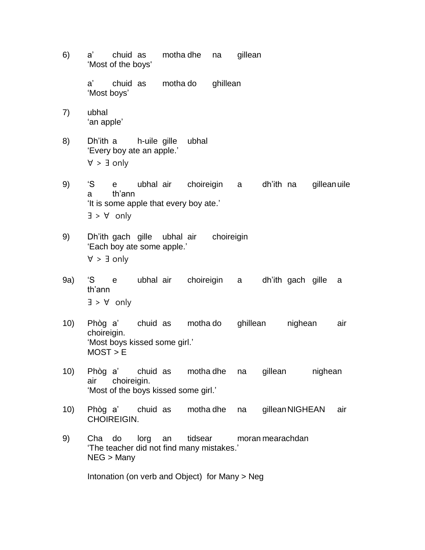6) a' chuid as motha dhe na gillean 'Most of the boys'

> a' chuid as motha do ghillean 'Most boys'

- 7) ubhal 'an apple'
- 8) Dh'ith a h-uile gille ubhal 'Every boy ate an apple.' ∀ > ∃ only
- 9) 'S e ubhal air choireigin a dh'ith na gilleanuile a th'ann 'It is some apple that every boy ate.' ∃ > ∀ only
- 9) Dh'ith gach gille ubhal air choireigin 'Each boy ate some apple.' ∀ > ∃ only
- 9a) 'S e ubhal air choireigin a dh'ith gach gille a th'ann ∃ > ∀ only
- 10) Phòg a' chuid as motha do ghillean nighean air choireigin. 'Most boys kissed some girl.'  $MOST > E$
- 10) Phòg a' chuid as motha dhe na gillean nighean air choireigin. 'Most of the boys kissed some girl.'
- 10) Phòg a' chuid as motha dhe na gilleanNIGHEAN air CHOIREIGIN.
- 9) Cha do lorg an tidsear moran mearachdan 'The teacher did not find many mistakes.' NEG > Many

Intonation (on verb and Object) for Many > Neg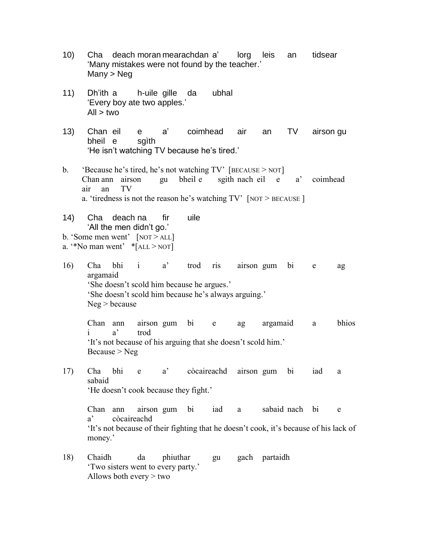- 10) Cha deach moran mearachdan a' lorg leis an tidsear 'Many mistakes were not found by the teacher.' Many > Neg
- 11) Dh'ith a h-uile gille da ubhal 'Every boy ate two apples.'  $All$  > two
- 13) Chan eil e a' coimhead air an TV airson gu bheil e sgìth 'He isn't watching TV because he's tired.'
- b. 'Because he's tired, he's not watching  $TV'$  [BECAUSE > NOT] Chan ann airson gu bheil e sgith nach eil e a' coimhead air an TV a. 'tiredness is not the reason he's watching TV' [NOT > BECAUSE ]
- 14) Cha deach na fir uile 'All the men didn't go.' b. 'Some men went' [NOT > ALL]
- a. "No man went"  $*$ [ALL > NOT]
- 16) Cha bhi i a' trod ris airson gum bi e ag argamaid 'She doesn't scold him because he argues.' 'She doesn't scold him because he's always arguing.' Neg > because

Chan ann airson gum bi e ag argamaid a bhios i a' trod 'It's not because of his arguing that she doesn't scold him.'  $Because > Neg$ 

17) Cha bhi e a' còcaireachd airson gum bi iad a sabaid 'He doesn't cook because they fight.'

Chan ann airson gum bi iad a sabaid nach bi e a' còcaireachd 'It's not because of their fighting that he doesn't cook, it's because of his lack of money.'

18) Chaidh da phiuthar gu gach partaidh 'Two sisters went to every party.' Allows both every > two